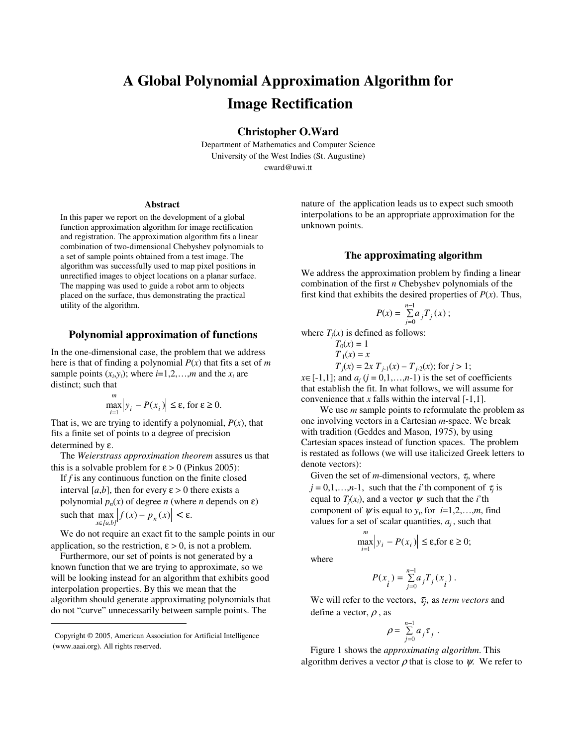# **A Global Polynomial Approximation Algorithm for Image Rectification**

**Christopher O.Ward**

Department of Mathematics and Computer Science University of the West Indies (St. Augustine) cward@uwi.tt

#### **Abstract**

In this paper we report on the development of a global function approximation algorithm for image rectification and registration. The approximation algorithm fits a linear combination of two-dimensional Chebyshev polynomials to a set of sample points obtained from a test image. The algorithm was successfully used to map pixel positions in unrectified images to object locations on a planar surface. The mapping was used to guide a robot arm to objects placed on the surface, thus demonstrating the practical utility of the algorithm.

#### **Polynomial approximation of functions**

In the one-dimensional case, the problem that we address here is that of finding a polynomial *P*(*x*) that fits a set of *m* sample points  $(x_i, y_i)$ ; where  $i=1,2,...,m$  and the  $x_i$  are distinct; such that

$$
\max_{i=1}^{m} |y_i - P(x_i)| \le \varepsilon, \text{ for } \varepsilon \ge 0.
$$

That is, we are trying to identify a polynomial, *P*(*x*), that fits a finite set of points to a degree of precision determined by ε.

The *Weierstrass approximation theorem* assures us that this is a solvable problem for  $\varepsilon > 0$  (Pinkus 2005):

If *f* is any continuous function on the finite closed interval [ $a,b$ ], then for every  $\varepsilon > 0$  there exists a polynomial  $p_n(x)$  of degree *n* (where *n* depends on  $\varepsilon$ ) such that  $\max_{x \in [a,b]} |f(x) - p_n(x)| < \varepsilon$ .

We do not require an exact fit to the sample points in our application, so the restriction,  $\varepsilon > 0$ , is not a problem.

Furthermore, our set of points is not generated by a known function that we are trying to approximate, so we will be looking instead for an algorithm that exhibits good interpolation properties. By this we mean that the algorithm should generate approximating polynomials that do not "curve" unnecessarily between sample points. The

nature of the application leads us to expect such smooth interpolations to be an appropriate approximation for the unknown points.

### **The approximating algorithm**

We address the approximation problem by finding a linear combination of the first *n* Chebyshev polynomials of the first kind that exhibits the desired properties of  $P(x)$ . Thus,

$$
P(x) = \sum_{j=0}^{n-1} a_j T_j(x) \, ;
$$

where  $T_i(x)$  is defined as follows:

$$
T_0(x) = 1
$$
  
\n
$$
T_1(x) = x
$$
  
\n
$$
T_j(x) = 2x T_{j-1}(x) - T_{j-2}(x); \text{ for } j > 1;
$$

 $x \in [-1,1]$ ; and  $a_j$  ( $j = 0,1,...,n-1$ ) is the set of coefficients that establish the fit. In what follows, we will assume for convenience that  $x$  falls within the interval  $[-1,1]$ .

We use *m* sample points to reformulate the problem as one involving vectors in a Cartesian *m*-space. We break with tradition (Geddes and Mason, 1975), by using Cartesian spaces instead of function spaces. The problem is restated as follows (we will use italicized Greek letters to denote vectors):

Given the set of *m*-dimensional vectors,  $\tau_j$ , where  $j = 0, 1, \ldots, n-1$ , such that the *i*'th component of  $\tau_j$  is equal to  $T_i(x_i)$ , and a vector  $\psi$  such that the *i*'th component of  $\psi$  is equal to  $y_i$ , for  $i=1,2,...,m$ , find values for a set of scalar quantities,  $a_j$ , such that

$$
\max_{i=1}^{m} |y_i - P(x_i)| \le \varepsilon, \text{for } \varepsilon \ge 0;
$$

where

$$
P(x_{i}^{})=\textstyle\sum\limits_{j=0}^{n-1}a_{j}T_{j}(x_{i}^{})\;.
$$

We will refer to the vectors, <sup>τ</sup>*<sup>j</sup>* , as *term vectors* and define a vector,  $\rho$ , as

$$
\rho = \sum_{j=0}^{n-1} a_j \tau_j.
$$

Figure 1 shows the *approximating algorithm*. This algorithm derives a vector  $\rho$  that is close to  $\psi$ . We refer to

Copyright © 2005, American Association for Artificial Intelligence (www.aaai.org). All rights reserved.